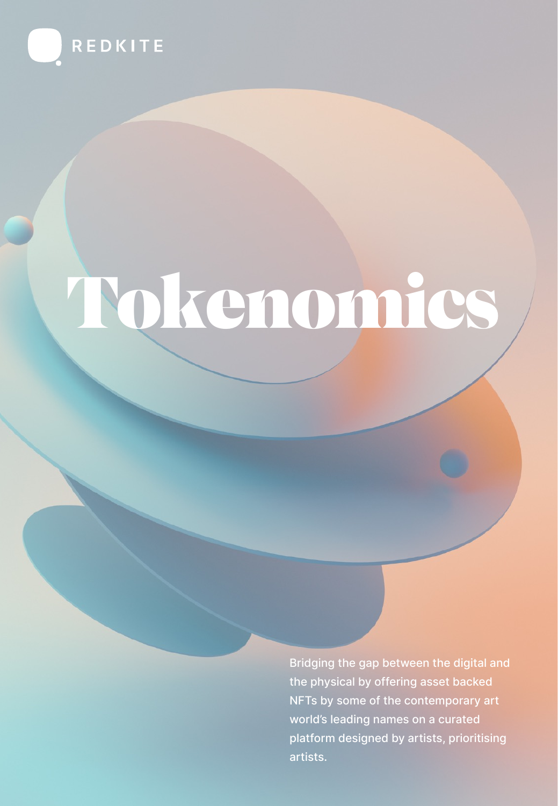

# Tokenomics

Bridging the gap between the digital and the physical by offering asset backed NFTs by some of the contemporary art world's leading names on a curated platform designed by artists, prioritising artists.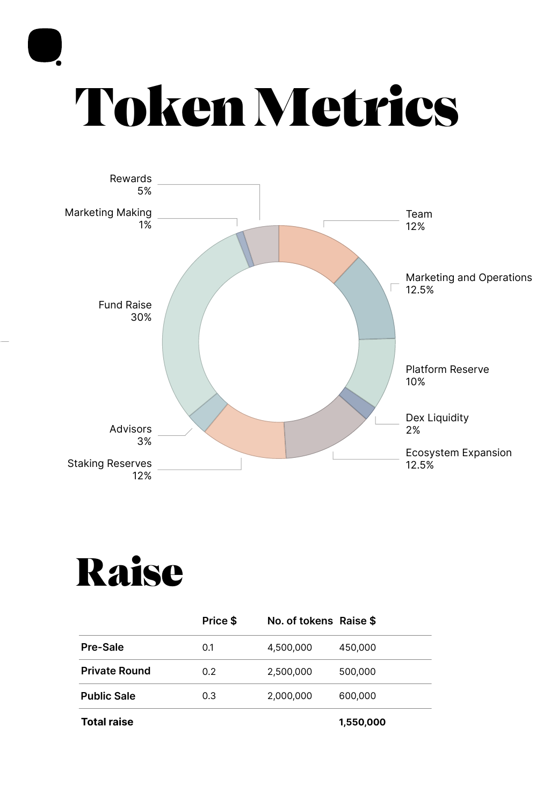

## Token Metrics



#### Raise

|                      | Price \$ | No. of tokens Raise \$ |           |
|----------------------|----------|------------------------|-----------|
| Pre-Sale             | 0.1      | 4,500,000              | 450,000   |
| <b>Private Round</b> | 0.2      | 2,500,000              | 500,000   |
| <b>Public Sale</b>   | 0.3      | 2,000,000              | 600,000   |
| <b>Total raise</b>   |          |                        | 1,550,000 |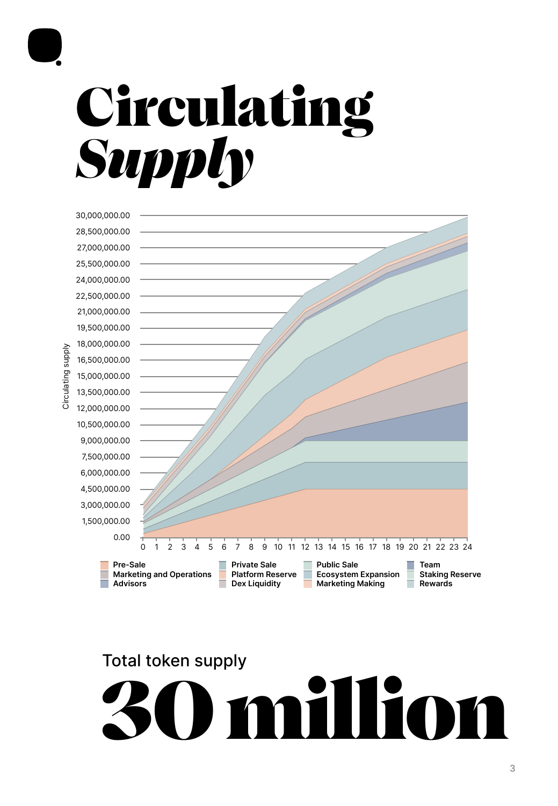

### Circulating *Supply*



#### Total token supply 30 million